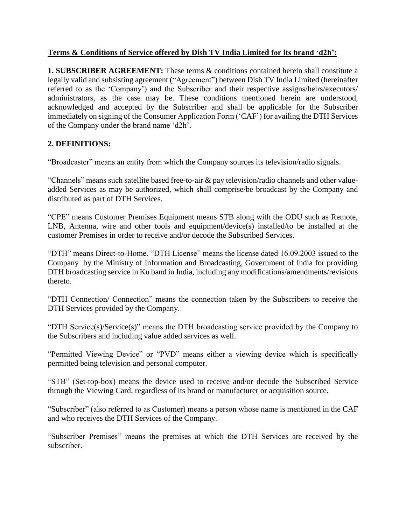## **Terms & Conditions of Service offered by Dish TV India Limited for its brand 'd2h':**

**1. SUBSCRIBER AGREEMENT:** These terms & conditions contained herein shall constitute a legally valid and subsisting agreement ("Agreement") between Dish TV India Limited (hereinafter referred to as the 'Company') and the Subscriber and their respective assigns/heirs/executors/ administrators, as the case may be. These conditions mentioned herein are understood, acknowledged and accepted by the Subscriber and shall be applicable for the Subscriber immediately on signing of the Consumer Application Form ('CAF') for availing the DTH Services of the Company under the brand name 'd2h'.

## **2. DEFINITIONS:**

"Broadcaster" means an entity from which the Company sources its television/radio signals.

"Channels" means such satellite based free-to-air & pay television/radio channels and other valueadded Services as may be authorized, which shall comprise/be broadcast by the Company and distributed as part of DTH Services.

"CPE" means Customer Premises Equipment means STB along with the ODU such as Remote, LNB, Antenna, wire and other tools and equipment/device(s) installed/to be installed at the customer Premises in order to receive and/or decode the Subscribed Services.

"DTH" means Direct-to-Home. "DTH License" means the license dated 16.09.2003 issued to the Company by the Ministry of Information and Broadcasting, Government of India for providing DTH broadcasting service in Ku band in India, including any modifications/amendments/revisions thereto.

"DTH Connection/ Connection" means the connection taken by the Subscribers to receive the DTH Services provided by the Company.

"DTH Service(s)/Service(s)" means the DTH broadcasting service provided by the Company to the Subscribers and including value added services as well.

"Permitted Viewing Device" or "PVD" means either a viewing device which is specifically permitted being television and personal computer.

"STB" (Set-top-box) means the device used to receive and/or decode the Subscribed Service through the Viewing Card, regardless of its brand or manufacturer or acquisition source.

"Subscriber" (also referred to as Customer) means a person whose name is mentioned in the CAF and who receives the DTH Services of the Company.

"Subscriber Premises" means the premises at which the DTH Services are received by the subscriber.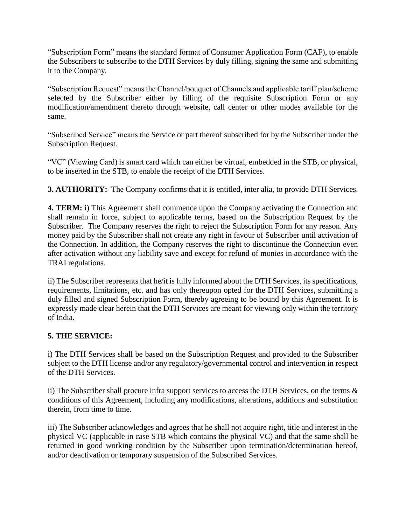"Subscription Form" means the standard format of Consumer Application Form (CAF), to enable the Subscribers to subscribe to the DTH Services by duly filling, signing the same and submitting it to the Company.

"Subscription Request" means the Channel/bouquet of Channels and applicable tariff plan/scheme selected by the Subscriber either by filling of the requisite Subscription Form or any modification/amendment thereto through website, call center or other modes available for the same.

"Subscribed Service" means the Service or part thereof subscribed for by the Subscriber under the Subscription Request.

"VC" (Viewing Card) is smart card which can either be virtual, embedded in the STB, or physical, to be inserted in the STB, to enable the receipt of the DTH Services.

**3. AUTHORITY:** The Company confirms that it is entitled, inter alia, to provide DTH Services.

**4. TERM:** i) This Agreement shall commence upon the Company activating the Connection and shall remain in force, subject to applicable terms, based on the Subscription Request by the Subscriber. The Company reserves the right to reject the Subscription Form for any reason. Any money paid by the Subscriber shall not create any right in favour of Subscriber until activation of the Connection. In addition, the Company reserves the right to discontinue the Connection even after activation without any liability save and except for refund of monies in accordance with the TRAI regulations.

ii) The Subscriber represents that he/it is fully informed about the DTH Services, its specifications, requirements, limitations, etc. and has only thereupon opted for the DTH Services, submitting a duly filled and signed Subscription Form, thereby agreeing to be bound by this Agreement. It is expressly made clear herein that the DTH Services are meant for viewing only within the territory of India.

# **5. THE SERVICE:**

i) The DTH Services shall be based on the Subscription Request and provided to the Subscriber subject to the DTH license and/or any regulatory/governmental control and intervention in respect of the DTH Services.

ii) The Subscriber shall procure infra support services to access the DTH Services, on the terms & conditions of this Agreement, including any modifications, alterations, additions and substitution therein, from time to time.

iii) The Subscriber acknowledges and agrees that he shall not acquire right, title and interest in the physical VC (applicable in case STB which contains the physical VC) and that the same shall be returned in good working condition by the Subscriber upon termination/determination hereof, and/or deactivation or temporary suspension of the Subscribed Services.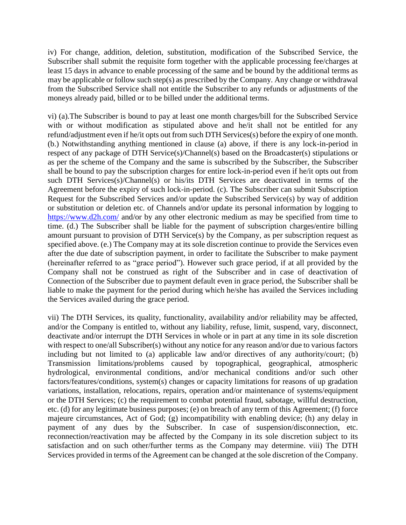iv) For change, addition, deletion, substitution, modification of the Subscribed Service, the Subscriber shall submit the requisite form together with the applicable processing fee/charges at least 15 days in advance to enable processing of the same and be bound by the additional terms as may be applicable or follow such step(s) as prescribed by the Company. Any change or withdrawal from the Subscribed Service shall not entitle the Subscriber to any refunds or adjustments of the moneys already paid, billed or to be billed under the additional terms.

vi) (a).The Subscriber is bound to pay at least one month charges/bill for the Subscribed Service with or without modification as stipulated above and he/it shall not be entitled for any refund/adjustment even if he/it opts out from such DTH Services(s) before the expiry of one month. (b.) Notwithstanding anything mentioned in clause (a) above, if there is any lock-in-period in respect of any package of DTH Service(s)/Channel(s) based on the Broadcaster(s) stipulations or as per the scheme of the Company and the same is subscribed by the Subscriber, the Subscriber shall be bound to pay the subscription charges for entire lock-in-period even if he/it opts out from such DTH Services(s)/Channel(s) or his/its DTH Services are deactivated in terms of the Agreement before the expiry of such lock-in-period. (c). The Subscriber can submit Subscription Request for the Subscribed Services and/or update the Subscribed Service(s) by way of addition or substitution or deletion etc. of Channels and/or update its personal information by logging to <https://www.d2h.com/> and/or by any other electronic medium as may be specified from time to time. (d.) The Subscriber shall be liable for the payment of subscription charges/entire billing amount pursuant to provision of DTH Service(s) by the Company, as per subscription request as specified above. (e.) The Company may at its sole discretion continue to provide the Services even after the due date of subscription payment, in order to facilitate the Subscriber to make payment (hereinafter referred to as "grace period"). However such grace period, if at all provided by the Company shall not be construed as right of the Subscriber and in case of deactivation of Connection of the Subscriber due to payment default even in grace period, the Subscriber shall be liable to make the payment for the period during which he/she has availed the Services including the Services availed during the grace period.

vii) The DTH Services, its quality, functionality, availability and/or reliability may be affected, and/or the Company is entitled to, without any liability, refuse, limit, suspend, vary, disconnect, deactivate and/or interrupt the DTH Services in whole or in part at any time in its sole discretion with respect to one/all Subscriber(s) without any notice for any reason and/or due to various factors including but not limited to (a) applicable law and/or directives of any authority/court; (b) Transmission limitations/problems caused by topographical, geographical, atmospheric hydrological, environmental conditions, and/or mechanical conditions and/or such other factors/features/conditions, system(s) changes or capacity limitations for reasons of up gradation variations, installation, relocations, repairs, operation and/or maintenance of systems/equipment or the DTH Services; (c) the requirement to combat potential fraud, sabotage, willful destruction, etc. (d) for any legitimate business purposes; (e) on breach of any term of this Agreement; (f) force majeure circumstances, Act of God; (g) incompatibility with enabling device; (h) any delay in payment of any dues by the Subscriber. In case of suspension/disconnection, etc. reconnection/reactivation may be affected by the Company in its sole discretion subject to its satisfaction and on such other/further terms as the Company may determine. viii) The DTH Services provided in terms of the Agreement can be changed at the sole discretion of the Company.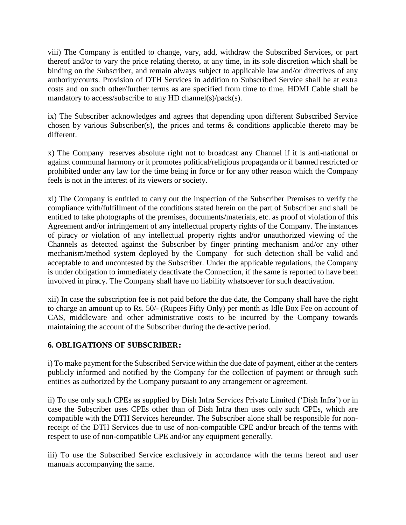viii) The Company is entitled to change, vary, add, withdraw the Subscribed Services, or part thereof and/or to vary the price relating thereto, at any time, in its sole discretion which shall be binding on the Subscriber, and remain always subject to applicable law and/or directives of any authority/courts. Provision of DTH Services in addition to Subscribed Service shall be at extra costs and on such other/further terms as are specified from time to time. HDMI Cable shall be mandatory to access/subscribe to any HD channel(s)/pack(s).

ix) The Subscriber acknowledges and agrees that depending upon different Subscribed Service chosen by various Subscriber(s), the prices and terms & conditions applicable thereto may be different.

x) The Company reserves absolute right not to broadcast any Channel if it is anti-national or against communal harmony or it promotes political/religious propaganda or if banned restricted or prohibited under any law for the time being in force or for any other reason which the Company feels is not in the interest of its viewers or society.

xi) The Company is entitled to carry out the inspection of the Subscriber Premises to verify the compliance with/fulfillment of the conditions stated herein on the part of Subscriber and shall be entitled to take photographs of the premises, documents/materials, etc. as proof of violation of this Agreement and/or infringement of any intellectual property rights of the Company. The instances of piracy or violation of any intellectual property rights and/or unauthorized viewing of the Channels as detected against the Subscriber by finger printing mechanism and/or any other mechanism/method system deployed by the Company for such detection shall be valid and acceptable to and uncontested by the Subscriber. Under the applicable regulations, the Company is under obligation to immediately deactivate the Connection, if the same is reported to have been involved in piracy. The Company shall have no liability whatsoever for such deactivation.

xii) In case the subscription fee is not paid before the due date, the Company shall have the right to charge an amount up to Rs. 50/- (Rupees Fifty Only) per month as Idle Box Fee on account of CAS, middleware and other administrative costs to be incurred by the Company towards maintaining the account of the Subscriber during the de-active period.

## **6. OBLIGATIONS OF SUBSCRIBER:**

i) To make payment for the Subscribed Service within the due date of payment, either at the centers publicly informed and notified by the Company for the collection of payment or through such entities as authorized by the Company pursuant to any arrangement or agreement.

ii) To use only such CPEs as supplied by Dish Infra Services Private Limited ('Dish Infra') or in case the Subscriber uses CPEs other than of Dish Infra then uses only such CPEs, which are compatible with the DTH Services hereunder. The Subscriber alone shall be responsible for nonreceipt of the DTH Services due to use of non-compatible CPE and/or breach of the terms with respect to use of non-compatible CPE and/or any equipment generally.

iii) To use the Subscribed Service exclusively in accordance with the terms hereof and user manuals accompanying the same.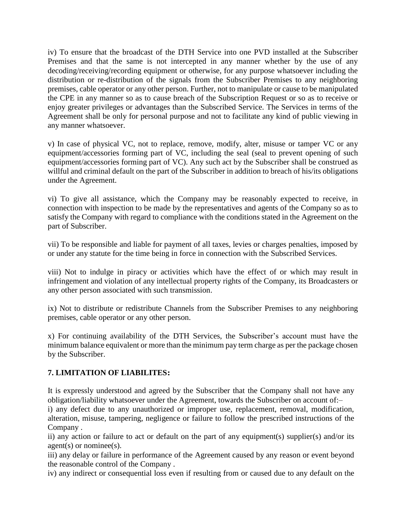iv) To ensure that the broadcast of the DTH Service into one PVD installed at the Subscriber Premises and that the same is not intercepted in any manner whether by the use of any decoding/receiving/recording equipment or otherwise, for any purpose whatsoever including the distribution or re-distribution of the signals from the Subscriber Premises to any neighboring premises, cable operator or any other person. Further, not to manipulate or cause to be manipulated the CPE in any manner so as to cause breach of the Subscription Request or so as to receive or enjoy greater privileges or advantages than the Subscribed Service. The Services in terms of the Agreement shall be only for personal purpose and not to facilitate any kind of public viewing in any manner whatsoever.

v) In case of physical VC, not to replace, remove, modify, alter, misuse or tamper VC or any equipment/accessories forming part of VC, including the seal (seal to prevent opening of such equipment/accessories forming part of VC). Any such act by the Subscriber shall be construed as willful and criminal default on the part of the Subscriber in addition to breach of his/its obligations under the Agreement.

vi) To give all assistance, which the Company may be reasonably expected to receive, in connection with inspection to be made by the representatives and agents of the Company so as to satisfy the Company with regard to compliance with the conditions stated in the Agreement on the part of Subscriber.

vii) To be responsible and liable for payment of all taxes, levies or charges penalties, imposed by or under any statute for the time being in force in connection with the Subscribed Services.

viii) Not to indulge in piracy or activities which have the effect of or which may result in infringement and violation of any intellectual property rights of the Company, its Broadcasters or any other person associated with such transmission.

ix) Not to distribute or redistribute Channels from the Subscriber Premises to any neighboring premises, cable operator or any other person.

x) For continuing availability of the DTH Services, the Subscriber's account must have the minimum balance equivalent or more than the minimum pay term charge as per the package chosen by the Subscriber.

## **7. LIMITATION OF LIABILITES:**

It is expressly understood and agreed by the Subscriber that the Company shall not have any obligation/liability whatsoever under the Agreement, towards the Subscriber on account of:–

i) any defect due to any unauthorized or improper use, replacement, removal, modification, alteration, misuse, tampering, negligence or failure to follow the prescribed instructions of the Company .

ii) any action or failure to act or default on the part of any equipment(s) supplier(s) and/or its agent(s) or nominee(s).

iii) any delay or failure in performance of the Agreement caused by any reason or event beyond the reasonable control of the Company .

iv) any indirect or consequential loss even if resulting from or caused due to any default on the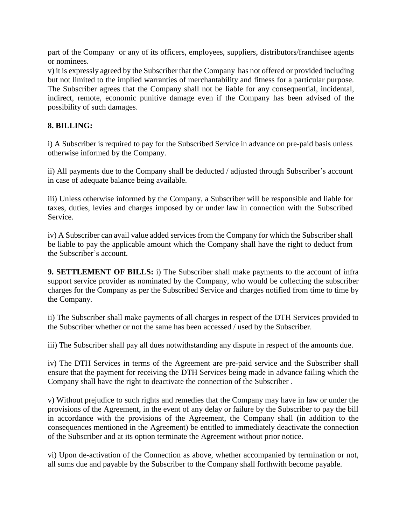part of the Company or any of its officers, employees, suppliers, distributors/franchisee agents or nominees.

v) it is expressly agreed by the Subscriber that the Company has not offered or provided including but not limited to the implied warranties of merchantability and fitness for a particular purpose. The Subscriber agrees that the Company shall not be liable for any consequential, incidental, indirect, remote, economic punitive damage even if the Company has been advised of the possibility of such damages.

## **8. BILLING:**

i) A Subscriber is required to pay for the Subscribed Service in advance on pre-paid basis unless otherwise informed by the Company.

ii) All payments due to the Company shall be deducted / adjusted through Subscriber's account in case of adequate balance being available.

iii) Unless otherwise informed by the Company, a Subscriber will be responsible and liable for taxes, duties, levies and charges imposed by or under law in connection with the Subscribed Service.

iv) A Subscriber can avail value added services from the Company for which the Subscriber shall be liable to pay the applicable amount which the Company shall have the right to deduct from the Subscriber's account.

**9. SETTLEMENT OF BILLS:** i) The Subscriber shall make payments to the account of infra support service provider as nominated by the Company, who would be collecting the subscriber charges for the Company as per the Subscribed Service and charges notified from time to time by the Company.

ii) The Subscriber shall make payments of all charges in respect of the DTH Services provided to the Subscriber whether or not the same has been accessed / used by the Subscriber.

iii) The Subscriber shall pay all dues notwithstanding any dispute in respect of the amounts due.

iv) The DTH Services in terms of the Agreement are pre-paid service and the Subscriber shall ensure that the payment for receiving the DTH Services being made in advance failing which the Company shall have the right to deactivate the connection of the Subscriber .

v) Without prejudice to such rights and remedies that the Company may have in law or under the provisions of the Agreement, in the event of any delay or failure by the Subscriber to pay the bill in accordance with the provisions of the Agreement, the Company shall (in addition to the consequences mentioned in the Agreement) be entitled to immediately deactivate the connection of the Subscriber and at its option terminate the Agreement without prior notice.

vi) Upon de-activation of the Connection as above, whether accompanied by termination or not, all sums due and payable by the Subscriber to the Company shall forthwith become payable.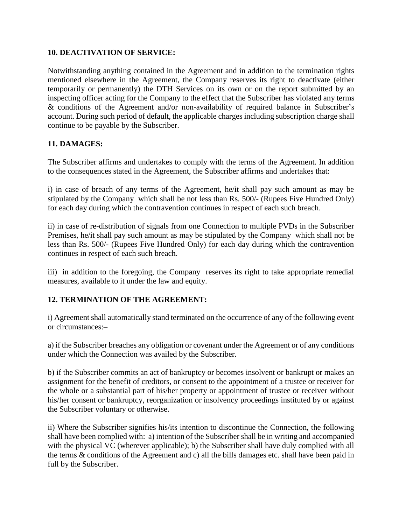#### **10. DEACTIVATION OF SERVICE:**

Notwithstanding anything contained in the Agreement and in addition to the termination rights mentioned elsewhere in the Agreement, the Company reserves its right to deactivate (either temporarily or permanently) the DTH Services on its own or on the report submitted by an inspecting officer acting for the Company to the effect that the Subscriber has violated any terms & conditions of the Agreement and/or non-availability of required balance in Subscriber's account. During such period of default, the applicable charges including subscription charge shall continue to be payable by the Subscriber.

#### **11. DAMAGES:**

The Subscriber affirms and undertakes to comply with the terms of the Agreement. In addition to the consequences stated in the Agreement, the Subscriber affirms and undertakes that:

i) in case of breach of any terms of the Agreement, he/it shall pay such amount as may be stipulated by the Company which shall be not less than Rs. 500/- (Rupees Five Hundred Only) for each day during which the contravention continues in respect of each such breach.

ii) in case of re-distribution of signals from one Connection to multiple PVDs in the Subscriber Premises, he/it shall pay such amount as may be stipulated by the Company which shall not be less than Rs. 500/- (Rupees Five Hundred Only) for each day during which the contravention continues in respect of each such breach.

iii) in addition to the foregoing, the Company reserves its right to take appropriate remedial measures, available to it under the law and equity.

## **12. TERMINATION OF THE AGREEMENT:**

i) Agreement shall automatically stand terminated on the occurrence of any of the following event or circumstances:–

a) if the Subscriber breaches any obligation or covenant under the Agreement or of any conditions under which the Connection was availed by the Subscriber.

b) if the Subscriber commits an act of bankruptcy or becomes insolvent or bankrupt or makes an assignment for the benefit of creditors, or consent to the appointment of a trustee or receiver for the whole or a substantial part of his/her property or appointment of trustee or receiver without his/her consent or bankruptcy, reorganization or insolvency proceedings instituted by or against the Subscriber voluntary or otherwise.

ii) Where the Subscriber signifies his/its intention to discontinue the Connection, the following shall have been complied with: a) intention of the Subscriber shall be in writing and accompanied with the physical VC (wherever applicable); b) the Subscriber shall have duly complied with all the terms & conditions of the Agreement and c) all the bills damages etc. shall have been paid in full by the Subscriber.